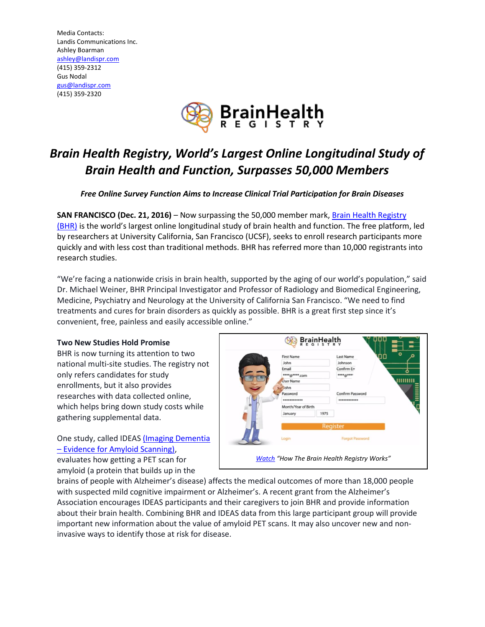Media Contacts: Landis Communications Inc. Ashley Boarman [ashley@landispr.com](mailto:ashley@landispr.com) (415) 359-2312 Gus Nodal [gus@landispr.com](mailto:gus@landispr.com) (415) 359-2320



# *Brain Health Registry, World's Largest Online Longitudinal Study of Brain Health and Function, Surpasses 50,000 Members*

*Free Online Survey Function Aims to Increase Clinical Trial Participation for Brain Diseases*

**SAN FRANCISCO (Dec. 21, 2016)** – Now surpassing the 50,000 member mark, [Brain Health Registry](http://www.brainhealthregistry.org/?utm_source=marketwire&utm_medium=referrer&utm_campaign=50k)  [\(BHR\)](http://www.brainhealthregistry.org/?utm_source=marketwire&utm_medium=referrer&utm_campaign=50k) is the world's largest online longitudinal study of brain health and function. The free platform, led by researchers at University California, San Francisco (UCSF), seeks to enroll research participants more quickly and with less cost than traditional methods. BHR has referred more than 10,000 registrants into research studies.

"We're facing a nationwide crisis in brain health, supported by the aging of our world's population," said Dr. Michael Weiner, BHR Principal Investigator and Professor of Radiology and Biomedical Engineering, Medicine, Psychiatry and Neurology at the University of California San Francisco. "We need to find treatments and cures for brain disorders as quickly as possible. BHR is a great first step since it's convenient, free, painless and easily accessible online."

## **Two New Studies Hold Promise**

BHR is now turning its attention to two national multi-site studies. The registry not only refers candidates for study enrollments, but it also provides researches with data collected online, which helps bring down study costs while gathering supplemental data.

One study, called IDEAS [\(Imaging Dementia](https://www.nia.nih.gov/alzheimers/clinical-trials/imaging-dementia-evidence-amyloid-scanning-ideas-study)  – [Evidence for Amyloid Scanning\),](https://www.nia.nih.gov/alzheimers/clinical-trials/imaging-dementia-evidence-amyloid-scanning-ideas-study)

John Johnsor Email Confirm En \*\*\*\*@\*\*\*\*.com \*\*\*\* @\*\*\* mmin User Name lohn Password Confirm Password ........... Month/Year of Birth 1975 **Forgot Password** Login *[Watch](http://try.brainhealthregistry.org/?utm_source=business_wire&utm_medium=referrer%20&utm_campaign=bhr_1yr) "How The Brain Health Registry Works"*

**BrainHealth** 

Last Name

 $\bigcirc$ 

First Name

evaluates how getting a PET scan for amyloid (a protein that builds up in the

brains of people with Alzheimer's disease) affects the medical outcomes of more than 18,000 people with suspected mild cognitive impairment or Alzheimer's. A recent grant from the Alzheimer's Association encourages IDEAS participants and their caregivers to join BHR and provide information about their brain health. Combining BHR and IDEAS data from this large participant group will provide important new information about the value of amyloid PET scans. It may also uncover new and noninvasive ways to identify those at risk for disease.